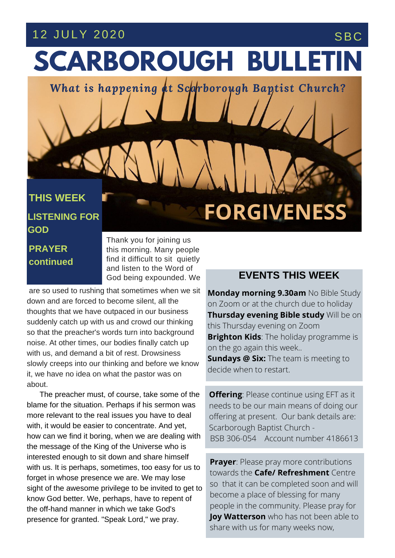# 12 JULY 2020 SBC

# **SCARBOROUGH BULLETIN**

*What is happening at Scarborough Baptist Church?*

### **THIS WEEK**

**LISTENING FOR GOD**

## **PRAYER continued**

Thank you for joining us this morning. Many people find it difficult to sit quietly and listen to the Word of God being expounded. We

**THE EXECUTE:** THE **SERVICES** finally catch up slowly creeps into our thinking and before we know are so used to rushing that sometimes when we sit down and are forced to become silent, all the thoughts that we have outpaced in our business suddenly catch up with us and crowd our thinking so that the preacher's words turn into background with us, and demand a bit of rest. Drowsiness it, we have no idea on what the pastor was on about.

The preacher must, of course, take some of the blame for the situation. Perhaps if his sermon was more relevant to the real issues you have to deal with, it would be easier to concentrate. And yet, how can we find it boring, when we are dealing with the message of the King of the Universe who is interested enough to sit down and share himself with us. It is perhaps, sometimes, too easy for us to forget in whose presence we are. We may lose sight of the awesome privilege to be invited to get to know God better. We, perhaps, have to repent of the off-hand manner in which we take God's presence for granted. "Speak Lord," we pray.

### **EVENTS THIS WEEK**

**FORGIVENESS**

**Monday morning 9.30am** No Bible Study on Zoom or at the church due to holiday **Thursday evening Bible study** Will be on this Thursday evening on Zoom **Brighton Kids**: The holiday programme is on the go again this week.. **Sundays @ Six:** The team is meeting to decide when to restart.

**Offering: Please continue using EFT as it** needs to be our main means of doing our offering at present. Our bank details are: Scarborough Baptist Church - BSB 306-054 Account number 4186613

**Prayer**: Please pray more contributions towards the **Cafe/ Refreshment** Centre so that it can be completed soon and will become a place of blessing for many people in the community. Please pray for **Joy Watterson** who has not been able to share with us for many weeks now,